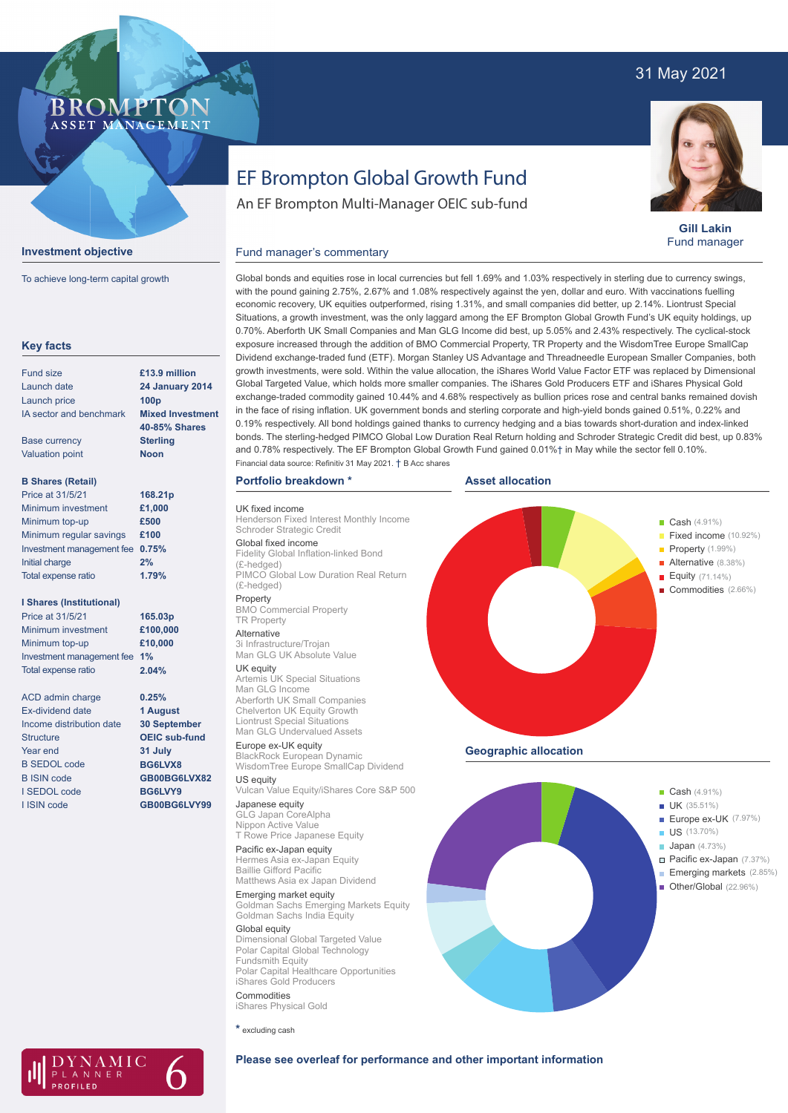# 31 May 2021

## **BROMPTO** ASSET MANAGEMENT



To achieve long-term capital growth

| <b>Key facts</b>                |                         |
|---------------------------------|-------------------------|
| <b>Fund size</b>                | £13.9 million           |
| Launch date                     | <b>24 January 2014</b>  |
| Launch price                    | 100 <sub>p</sub>        |
| IA sector and benchmark         | <b>Mixed Investment</b> |
|                                 | <b>40-85% Shares</b>    |
| <b>Base currency</b>            | <b>Sterling</b>         |
| <b>Valuation point</b>          | <b>Noon</b>             |
| <b>B Shares (Retail)</b>        |                         |
| Price at 31/5/21                | 168.21p                 |
| Minimum investment              | £1,000                  |
| Minimum top-up                  | £500                    |
| Minimum regular savings         | £100                    |
| Investment management fee       | 0.75%                   |
| <b>Initial charge</b>           | 2%                      |
| Total expense ratio             | 1.79%                   |
| <b>I Shares (Institutional)</b> |                         |
| Price at 31/5/21                | 165.03p                 |
| Minimum investment              | £100,000                |
| Minimum top-up                  | £10,000                 |
| Investment management fee       | 1%                      |
| Total expense ratio             | 2.04%                   |
| <b>ACD</b> admin charge         | 0.25%                   |
| <b>Ex-dividend date</b>         | 1 August                |
| Income distribution date        | 30 September            |
| <b>Structure</b>                | <b>OEIC sub-fund</b>    |
| Year end                        | 31 July                 |
| <b>B SEDOL code</b>             | BG6LVX8                 |
| <b>B ISIN code</b>              | GB00BG6LVX82            |
| <b>I SEDOL code</b>             | BG6LVY9                 |
| I ISIN code                     | GB00BG6LVY99            |
|                                 |                         |
|                                 |                         |
|                                 |                         |

 $\Delta MIC$ 

LANNER

# EF Brompton Global Growth Fund

An EF Brompton Multi-Manager OEIC sub-fund

**Gill Lakin** Fund manager

Global bonds and equities rose in local currencies but fell 1.69% and 1.03% respectively in sterling due to currency swings, with the pound gaining 2.75%, 2.67% and 1.08% respectively against the yen, dollar and euro. With vaccinations fuelling economic recovery, UK equities outperformed, rising 1.31%, and small companies did better, up 2.14%. Liontrust Special Situations, a growth investment, was the only laggard among the EF Brompton Global Growth Fund's UK equity holdings, up 0.70%. Aberforth UK Small Companies and Man GLG Income did best, up 5.05% and 2.43% respectively. The cyclical-stock exposure increased through the addition of BMO Commercial Property, TR Property and the WisdomTree Europe SmallCap Dividend exchange-traded fund (ETF). Morgan Stanley US Advantage and Threadneedle European Smaller Companies, both growth investments, were sold. Within the value allocation, the iShares World Value Factor ETF was replaced by Dimensional Global Targeted Value, which holds more smaller companies. The iShares Gold Producers ETF and iShares Physical Gold exchange-traded commodity gained 10.44% and 4.68% respectively as bullion prices rose and central banks remained dovish in the face of rising inflation. UK government bonds and sterling corporate and high-yield bonds gained 0.51%, 0.22% and 0.19% respectively. All bond holdings gained thanks to currency hedging and a bias towards short-duration and index-linked bonds. The sterling-hedged PIMCO Global Low Duration Real Return holding and Schroder Strategic Credit did best, up 0.83% and 0.78% respectively. The EF Brompton Global Growth Fund gained 0.01%† in May while the sector fell 0.10%.

**Asset allocation**

## **Portfolio breakdown \***

Fund manager's commentary

UK fixed income

Henderson Fixed Interest Monthly Income Schroder Strategic Credit Global fixed income Fidelity Global Inflation-linked Bond (£-hedged) PIMCO Global Low Duration Real Return

Financial data source: Refinitiv 31 May 2021. † B Acc shares

(£-hedged)

Property BMO Commercial Property TR Property Alternative

3i Infrastructure/Trojan Man GLG UK Absolute Value

**UK equity**<br>Artemis UK Special Situations

Man GLG Income Aberforth UK Small Companies Chelverton UK Equity Growth Liontrust Special Situations Man GLG Undervalued Assets

Europe ex-UK equity BlackRock European Dynamic WisdomTree Europe SmallCap Dividend US equity

Vulcan Value Equity/iShares Core S&P 500 Japanese equity

GLG Japan CoreAlpha Nippon Active Value T Rowe Price Japanese Equity

Pacific ex-Japan equity Hermes Asia ex-Japan Equity Baillie Gifford Pacific Matthews Asia ex Japan Dividend

Emerging market equity Goldman Sachs Emerging Markets Equity Goldman Sachs India Equity

Global equity Dimensional Global Targeted Value Polar Capital Global Technology Fundsmith Equity Polar Capital Healthcare Opportunities iShares Gold Producers Commodities

iShares Physical Gold

**\*** excluding cash





# **Please see overleaf for performance and other important information**